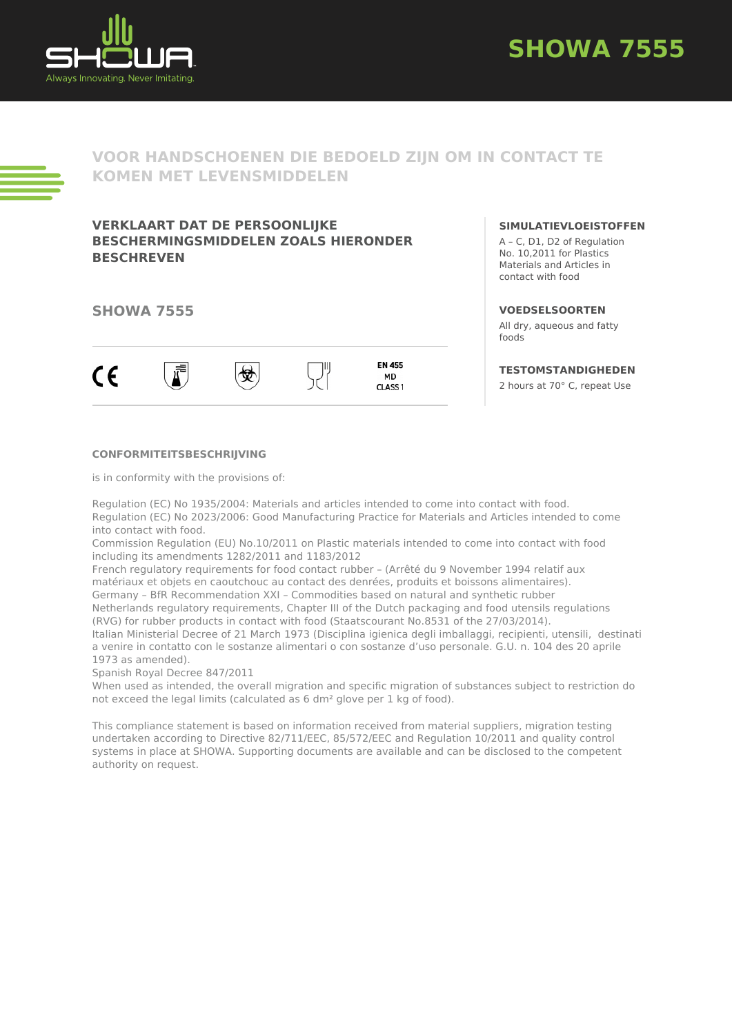



# **VOOR HANDSCHOENEN DIE BEDOELD ZIJN OM IN CONTACT TE KOMEN MET LEVENSMIDDELEN**

## **VERKLAART DAT DE PERSOONLIJKE BESCHERMINGSMIDDELEN ZOALS HIERONDER BESCHREVEN**

### **SHOWA 7555**



#### **SIMULATIEVLOEISTOFFEN**

A – C, D1, D2 of Regulation No. 10,2011 for Plastics Materials and Articles in contact with food

#### **VOEDSELSOORTEN**

All dry, aqueous and fatty foods

### **TESTOMSTANDIGHEDEN**

2 hours at 70° C, repeat Use

#### **CONFORMITEITSBESCHRIJVING**

is in conformity with the provisions of:

Regulation (EC) No 1935/2004: Materials and articles intended to come into contact with food. Regulation (EC) No 2023/2006: Good Manufacturing Practice for Materials and Articles intended to come into contact with food.

Commission Regulation (EU) No.10/2011 on Plastic materials intended to come into contact with food including its amendments 1282/2011 and 1183/2012

French regulatory requirements for food contact rubber – (Arrêté du 9 November 1994 relatif aux matériaux et objets en caoutchouc au contact des denrées, produits et boissons alimentaires). Germany – BfR Recommendation XXI – Commodities based on natural and synthetic rubber Netherlands regulatory requirements, Chapter III of the Dutch packaging and food utensils regulations (RVG) for rubber products in contact with food (Staatscourant No.8531 of the 27/03/2014).

Italian Ministerial Decree of 21 March 1973 (Disciplina igienica degli imballaggi, recipienti, utensili, destinati a venire in contatto con le sostanze alimentari o con sostanze d'uso personale. G.U. n. 104 des 20 aprile 1973 as amended).

Spanish Royal Decree 847/2011

When used as intended, the overall migration and specific migration of substances subject to restriction do not exceed the legal limits (calculated as 6 dm² glove per 1 kg of food).

This compliance statement is based on information received from material suppliers, migration testing undertaken according to Directive 82/711/EEC, 85/572/EEC and Regulation 10/2011 and quality control systems in place at SHOWA. Supporting documents are available and can be disclosed to the competent authority on request.